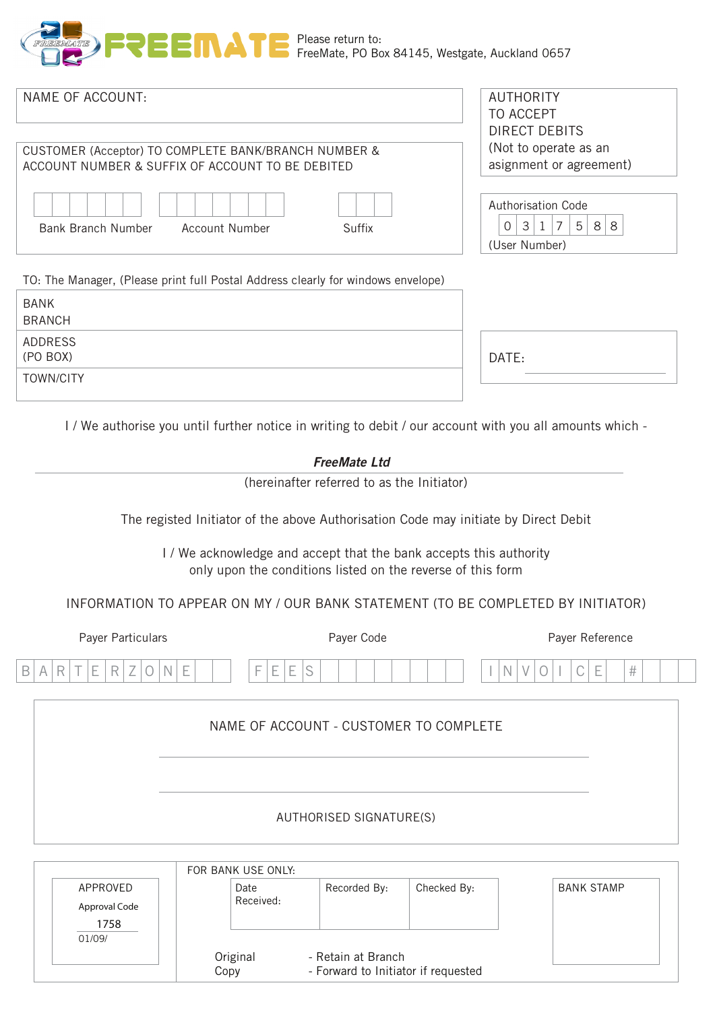

| NAME OF ACCOUNT:<br>CUSTOMER (Acceptor) TO COMPLETE BANK/BRANCH NUMBER &<br>ACCOUNT NUMBER & SUFFIX OF ACCOUNT TO BE DEBITED      | <b>AUTHORITY</b><br><b>TO ACCEPT</b><br><b>DIRECT DEBITS</b><br>(Not to operate as an<br>asignment or agreement) |
|-----------------------------------------------------------------------------------------------------------------------------------|------------------------------------------------------------------------------------------------------------------|
| <b>Account Number</b><br><b>Bank Branch Number</b><br><b>Suffix</b>                                                               | <b>Authorisation Code</b><br>$3 \mid 1 \mid 7$<br>5 <sup>1</sup><br>8 8<br>0<br>(User Number)                    |
| TO: The Manager, (Please print full Postal Address clearly for windows envelope)                                                  |                                                                                                                  |
| <b>BANK</b><br><b>BRANCH</b>                                                                                                      |                                                                                                                  |
| <b>ADDRESS</b><br>(PO BOX)                                                                                                        | DATE:                                                                                                            |
| <b>TOWN/CITY</b>                                                                                                                  |                                                                                                                  |
| I / We authorise you until further notice in writing to debit / our account with you all amounts which -<br><b>FreeMate Ltd</b>   |                                                                                                                  |
| (hereinafter referred to as the Initiator)                                                                                        |                                                                                                                  |
| The registed Initiator of the above Authorisation Code may initiate by Direct Debit                                               |                                                                                                                  |
| I / We acknowledge and accept that the bank accepts this authority<br>only upon the conditions listed on the reverse of this form |                                                                                                                  |

### INFORMATION TO APPEAR ON MY / OUR BANK STATEMENT (TO BE COMPLETED BY INITIATOR)

| Payer Particulars                                                                                                                                                                                         | Payer Code                                                                                                                                     | Payer Reference                                                                               |  |  |
|-----------------------------------------------------------------------------------------------------------------------------------------------------------------------------------------------------------|------------------------------------------------------------------------------------------------------------------------------------------------|-----------------------------------------------------------------------------------------------|--|--|
| R<br>$\sim$<br>$\sim$<br>$\overline{\phantom{a}}$<br>-<br>-<br>N<br><b>Lat.</b><br>$\overline{\phantom{a}}$<br><br>$\overline{\phantom{a}}$<br>$\checkmark$<br><b>1.</b><br>-<br>$\overline{\phantom{a}}$ | $\overline{\phantom{a}}$<br>$\overline{ }$<br>$\widehat{\phantom{1}}$<br>-<br>-<br>-<br><b>Land</b><br>$\check{~}$<br>$\overline{\phantom{a}}$ | $\overline{\phantom{a}}$<br>#<br>∽<br>N<br>$\sqrt{}$<br>-<br>$\check{ }$<br>$\checkmark$<br>- |  |  |

# NAME OF ACCOUNT - CUSTOMER TO COMPLETE

|                                             | FOR BANK USE ONLY: |                                                           |             |                   |
|---------------------------------------------|--------------------|-----------------------------------------------------------|-------------|-------------------|
| APPROVED<br>Approval Code<br>1758<br>01/09/ | Date<br>Received:  | Recorded By:                                              | Checked By: | <b>BANK STAMP</b> |
|                                             | Original<br>Copy   | - Retain at Branch<br>- Forward to Initiator if requested |             |                   |